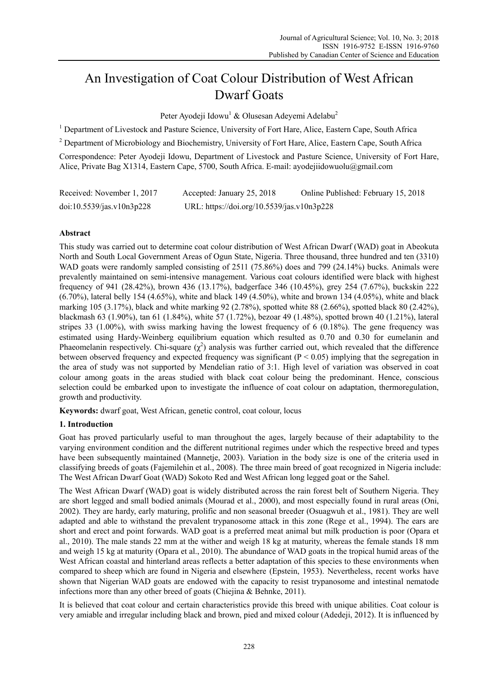# An Investigation of Coat Colour Distribution of West African Dwarf Goats

Peter Ayodeji Idowu<sup>1</sup> & Olusesan Adeyemi Adelabu<sup>2</sup>

<sup>1</sup> Department of Livestock and Pasture Science, University of Fort Hare, Alice, Eastern Cape, South Africa

<sup>2</sup> Department of Microbiology and Biochemistry, University of Fort Hare, Alice, Eastern Cape, South Africa

Correspondence: Peter Ayodeji Idowu, Department of Livestock and Pasture Science, University of Fort Hare, Alice, Private Bag X1314, Eastern Cape, 5700, South Africa. E-mail: ayodejiidowuolu@gmail.com

| Received: November 1, 2017 | Accepted: January 25, 2018                 | Online Published: February 15, 2018 |
|----------------------------|--------------------------------------------|-------------------------------------|
| doi:10.5539/jas.v10n3p228  | URL: https://doi.org/10.5539/jas.v10n3p228 |                                     |

# **Abstract**

This study was carried out to determine coat colour distribution of West African Dwarf (WAD) goat in Abeokuta North and South Local Government Areas of Ogun State, Nigeria. Three thousand, three hundred and ten (3310) WAD goats were randomly sampled consisting of 2511 (75.86%) does and 799 (24.14%) bucks. Animals were prevalently maintained on semi-intensive management. Various coat colours identified were black with highest frequency of 941 (28.42%), brown 436 (13.17%), badgerface 346 (10.45%), grey 254 (7.67%), buckskin 222 (6.70%), lateral belly 154 (4.65%), white and black 149 (4.50%), white and brown 134 (4.05%), white and black marking 105 (3.17%), black and white marking 92 (2.78%), spotted white 88 (2.66%), spotted black 80 (2.42%), blackmash 63 (1.90%), tan 61 (1.84%), white 57 (1.72%), bezoar 49 (1.48%), spotted brown 40 (1.21%), lateral stripes 33 (1.00%), with swiss marking having the lowest frequency of 6 (0.18%). The gene frequency was estimated using Hardy-Weinberg equilibrium equation which resulted as 0.70 and 0.30 for eumelanin and Phaeomelanin respectively. Chi-square  $(\chi^2)$  analysis was further carried out, which revealed that the difference between observed frequency and expected frequency was significant  $(P < 0.05)$  implying that the segregation in the area of study was not supported by Mendelian ratio of 3:1. High level of variation was observed in coat colour among goats in the areas studied with black coat colour being the predominant. Hence, conscious selection could be embarked upon to investigate the influence of coat colour on adaptation, thermoregulation, growth and productivity.

**Keywords:** dwarf goat, West African, genetic control, coat colour, locus

#### **1. Introduction**

Goat has proved particularly useful to man throughout the ages, largely because of their adaptability to the varying environment condition and the different nutritional regimes under which the respective breed and types have been subsequently maintained (Mannetje, 2003). Variation in the body size is one of the criteria used in classifying breeds of goats (Fajemilehin et al., 2008). The three main breed of goat recognized in Nigeria include: The West African Dwarf Goat (WAD) Sokoto Red and West African long legged goat or the Sahel.

The West African Dwarf (WAD) goat is widely distributed across the rain forest belt of Southern Nigeria. They are short legged and small bodied animals (Mourad et al., 2000), and most especially found in rural areas (Oni, 2002). They are hardy, early maturing, prolific and non seasonal breeder (Osuagwuh et al., 1981). They are well adapted and able to withstand the prevalent trypanosome attack in this zone (Rege et al., 1994). The ears are short and erect and point forwards. WAD goat is a preferred meat animal but milk production is poor (Opara et al., 2010). The male stands 22 mm at the wither and weigh 18 kg at maturity, whereas the female stands 18 mm and weigh 15 kg at maturity (Opara et al., 2010). The abundance of WAD goats in the tropical humid areas of the West African coastal and hinterland areas reflects a better adaptation of this species to these environments when compared to sheep which are found in Nigeria and elsewhere (Epstein, 1953). Nevertheless, recent works have shown that Nigerian WAD goats are endowed with the capacity to resist trypanosome and intestinal nematode infections more than any other breed of goats (Chiejina & Behnke, 2011).

It is believed that coat colour and certain characteristics provide this breed with unique abilities. Coat colour is very amiable and irregular including black and brown, pied and mixed colour (Adedeji, 2012). It is influenced by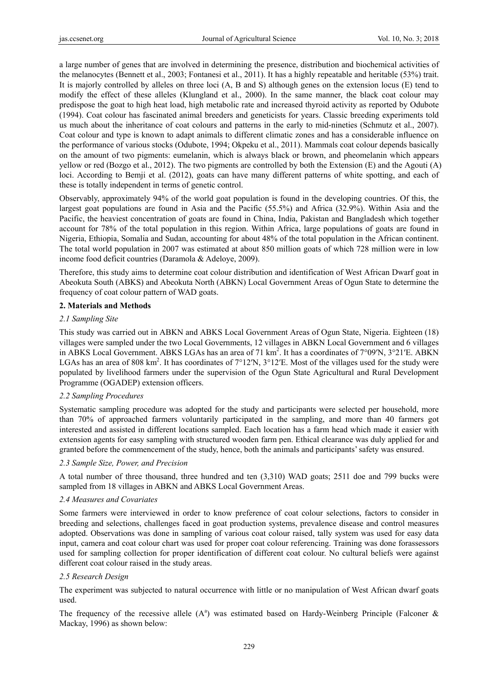a large number of genes that are involved in determining the presence, distribution and biochemical activities of the melanocytes (Bennett et al., 2003; Fontanesi et al., 2011). It has a highly repeatable and heritable (53%) trait. It is majorly controlled by alleles on three loci (A, B and S) although genes on the extension locus (E) tend to modify the effect of these alleles (Klungland et al., 2000). In the same manner, the black coat colour may predispose the goat to high heat load, high metabolic rate and increased thyroid activity as reported by Odubote (1994). Coat colour has fascinated animal breeders and geneticists for years. Classic breeding experiments told us much about the inheritance of coat colours and patterns in the early to mid-nineties (Schmutz et al., 2007). Coat colour and type is known to adapt animals to different climatic zones and has a considerable influence on the performance of various stocks (Odubote, 1994; Okpeku et al., 2011). Mammals coat colour depends basically on the amount of two pigments: eumelanin, which is always black or brown, and pheomelanin which appears yellow or red (Bozgo et al., 2012). The two pigments are controlled by both the Extension (E) and the Agouti (A) loci. According to Bemji et al. (2012), goats can have many different patterns of white spotting, and each of these is totally independent in terms of genetic control.

Observably, approximately 94% of the world goat population is found in the developing countries. Of this, the largest goat populations are found in Asia and the Pacific (55.5%) and Africa (32.9%). Within Asia and the Pacific, the heaviest concentration of goats are found in China, India, Pakistan and Bangladesh which together account for 78% of the total population in this region. Within Africa, large populations of goats are found in Nigeria, Ethiopia, Somalia and Sudan, accounting for about 48% of the total population in the African continent. The total world population in 2007 was estimated at about 850 million goats of which 728 million were in low income food deficit countries (Daramola & Adeloye, 2009).

Therefore, this study aims to determine coat colour distribution and identification of West African Dwarf goat in Abeokuta South (ABKS) and Abeokuta North (ABKN) Local Government Areas of Ogun State to determine the frequency of coat colour pattern of WAD goats.

# **2. Materials and Methods**

# *2.1 Sampling Site*

This study was carried out in ABKN and ABKS Local Government Areas of Ogun State, Nigeria. Eighteen (18) villages were sampled under the two Local Governments, 12 villages in ABKN Local Government and 6 villages in ABKS Local Government. ABKS LGAs has an area of 71 km<sup>2</sup>. It has a coordinates of 7°09′N, 3°21′E. ABKN LGAs has an area of 808 km<sup>2</sup>. It has coordinates of  $7^{\circ}12'N$ ,  $3^{\circ}12'E$ . Most of the villages used for the study were populated by livelihood farmers under the supervision of the Ogun State Agricultural and Rural Development Programme (OGADEP) extension officers.

#### *2.2 Sampling Procedures*

Systematic sampling procedure was adopted for the study and participants were selected per household, more than 70% of approached farmers voluntarily participated in the sampling, and more than 40 farmers got interested and assisted in different locations sampled. Each location has a farm head which made it easier with extension agents for easy sampling with structured wooden farm pen. Ethical clearance was duly applied for and granted before the commencement of the study, hence, both the animals and participants' safety was ensured.

#### *2.3 Sample Size, Power, and Precision*

A total number of three thousand, three hundred and ten (3,310) WAD goats; 2511 doe and 799 bucks were sampled from 18 villages in ABKN and ABKS Local Government Areas.

# *2.4 Measures and Covariates*

Some farmers were interviewed in order to know preference of coat colour selections, factors to consider in breeding and selections, challenges faced in goat production systems, prevalence disease and control measures adopted. Observations was done in sampling of various coat colour raised, tally system was used for easy data input, camera and coat colour chart was used for proper coat colour referencing. Training was done forassessors used for sampling collection for proper identification of different coat colour. No cultural beliefs were against different coat colour raised in the study areas.

#### *2.5 Research Design*

The experiment was subjected to natural occurrence with little or no manipulation of West African dwarf goats used.

The frequency of the recessive allele  $(A^a)$  was estimated based on Hardy-Weinberg Principle (Falconer & Mackay, 1996) as shown below: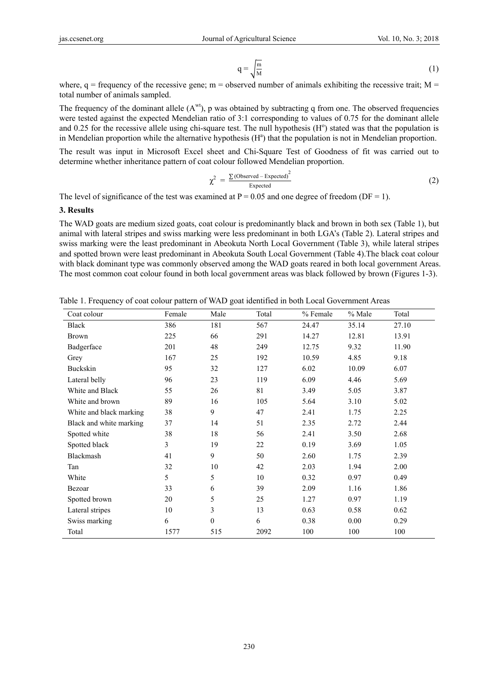$$
q = \sqrt{\frac{m}{M}}
$$
 (1)

where,  $q =$  frequency of the recessive gene; m = observed number of animals exhibiting the recessive trait; M = total number of animals sampled.

The frequency of the dominant allele  $(A^{wt}$ , p was obtained by subtracting q from one. The observed frequencies were tested against the expected Mendelian ratio of 3:1 corresponding to values of 0.75 for the dominant allele and 0.25 for the recessive allele using chi-square test. The null hypothesis  $(H<sup>o</sup>)$  stated was that the population is in Mendelian proportion while the alternative hypothesis  $(H<sup>a</sup>)$  that the population is not in Mendelian proportion.

The result was input in Microsoft Excel sheet and Chi-Square Test of Goodness of fit was carried out to determine whether inheritance pattern of coat colour followed Mendelian proportion.

$$
\chi^2 = \frac{\Sigma (\text{Observed} - \text{Expected})^2}{\text{Expected}}
$$
 (2)

The level of significance of the test was examined at  $P = 0.05$  and one degree of freedom (DF = 1).

**3. Results** 

The WAD goats are medium sized goats, coat colour is predominantly black and brown in both sex (Table 1), but animal with lateral stripes and swiss marking were less predominant in both LGA's (Table 2). Lateral stripes and swiss marking were the least predominant in Abeokuta North Local Government (Table 3), while lateral stripes and spotted brown were least predominant in Abeokuta South Local Government (Table 4).The black coat colour with black dominant type was commonly observed among the WAD goats reared in both local government Areas. The most common coat colour found in both local government areas was black followed by brown (Figures 1-3).

| Coat colour             | Female | Male             | Total | % Female | % Male | Total |
|-------------------------|--------|------------------|-------|----------|--------|-------|
| Black                   | 386    | 181              | 567   | 24.47    | 35.14  | 27.10 |
| <b>Brown</b>            | 225    | 66               | 291   | 14.27    | 12.81  | 13.91 |
| Badgerface              | 201    | 48               | 249   | 12.75    | 9.32   | 11.90 |
| Grey                    | 167    | 25               | 192   | 10.59    | 4.85   | 9.18  |
| Buckskin                | 95     | 32               | 127   | 6.02     | 10.09  | 6.07  |
| Lateral belly           | 96     | 23               | 119   | 6.09     | 4.46   | 5.69  |
| White and Black         | 55     | 26               | 81    | 3.49     | 5.05   | 3.87  |
| White and brown         | 89     | 16               | 105   | 5.64     | 3.10   | 5.02  |
| White and black marking | 38     | 9                | 47    | 2.41     | 1.75   | 2.25  |
| Black and white marking | 37     | 14               | 51    | 2.35     | 2.72   | 2.44  |
| Spotted white           | 38     | 18               | 56    | 2.41     | 3.50   | 2.68  |
| Spotted black           | 3      | 19               | 22    | 0.19     | 3.69   | 1.05  |
| Blackmash               | 41     | 9                | 50    | 2.60     | 1.75   | 2.39  |
| Tan                     | 32     | 10               | 42    | 2.03     | 1.94   | 2.00  |
| White                   | 5      | 5                | 10    | 0.32     | 0.97   | 0.49  |
| Bezoar                  | 33     | 6                | 39    | 2.09     | 1.16   | 1.86  |
| Spotted brown           | 20     | 5                | 25    | 1.27     | 0.97   | 1.19  |
| Lateral stripes         | 10     | 3                | 13    | 0.63     | 0.58   | 0.62  |
| Swiss marking           | 6      | $\boldsymbol{0}$ | 6     | 0.38     | 0.00   | 0.29  |
| Total                   | 1577   | 515              | 2092  | 100      | 100    | 100   |

Table 1. Frequency of coat colour pattern of WAD goat identified in both Local Government Areas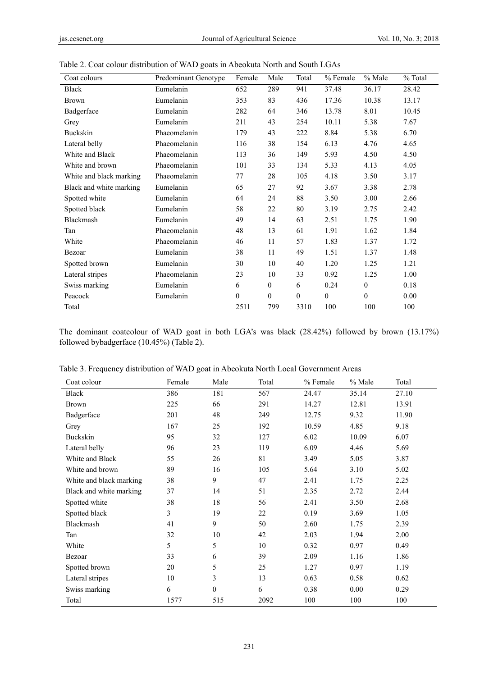| Coat colours            | Predominant Genotype | Female       | Male         | Total        | % Female     | % Male       | % Total |
|-------------------------|----------------------|--------------|--------------|--------------|--------------|--------------|---------|
| Black                   | Eumelanin            | 652          | 289          | 941          | 37.48        | 36.17        | 28.42   |
| <b>Brown</b>            | Eumelanin            | 353          | 83           | 436          | 17.36        | 10.38        | 13.17   |
| Badgerface              | Eumelanin            | 282          | 64           | 346          | 13.78        | 8.01         | 10.45   |
| Grey                    | Eumelanin            | 211          | 43           | 254          | 10.11        | 5.38         | 7.67    |
| <b>Buckskin</b>         | Phaeomelanin         | 179          | 43           | 222          | 8.84         | 5.38         | 6.70    |
| Lateral belly           | Phaeomelanin         | 116          | 38           | 154          | 6.13         | 4.76         | 4.65    |
| White and Black         | Phaeomelanin         | 113          | 36           | 149          | 5.93         | 4.50         | 4.50    |
| White and brown         | Phaeomelanin         | 101          | 33           | 134          | 5.33         | 4.13         | 4.05    |
| White and black marking | Phaeomelanin         | 77           | 28           | 105          | 4.18         | 3.50         | 3.17    |
| Black and white marking | Eumelanin            | 65           | 27           | 92           | 3.67         | 3.38         | 2.78    |
| Spotted white           | Eumelanin            | 64           | 24           | 88           | 3.50         | 3.00         | 2.66    |
| Spotted black           | Eumelanin            | 58           | 22           | 80           | 3.19         | 2.75         | 2.42    |
| Blackmash               | Eumelanin            | 49           | 14           | 63           | 2.51         | 1.75         | 1.90    |
| Tan                     | Phaeomelanin         | 48           | 13           | 61           | 1.91         | 1.62         | 1.84    |
| White                   | Phaeomelanin         | 46           | 11           | 57           | 1.83         | 1.37         | 1.72    |
| Bezoar                  | Eumelanin            | 38           | 11           | 49           | 1.51         | 1.37         | 1.48    |
| Spotted brown           | Eumelanin            | 30           | 10           | 40           | 1.20         | 1.25         | 1.21    |
| Lateral stripes         | Phaeomelanin         | 23           | 10           | 33           | 0.92         | 1.25         | 1.00    |
| Swiss marking           | Eumelanin            | 6            | $\theta$     | 6            | 0.24         | $\theta$     | 0.18    |
| Peacock                 | Eumelanin            | $\mathbf{0}$ | $\mathbf{0}$ | $\mathbf{0}$ | $\mathbf{0}$ | $\mathbf{0}$ | 0.00    |
| Total                   |                      | 2511         | 799          | 3310         | 100          | 100          | 100     |

Table 2. Coat colour distribution of WAD goats in Abeokuta North and South LGAs

The dominant coatcolour of WAD goat in both LGA's was black (28.42%) followed by brown (13.17%) followed bybadgerface (10.45%) (Table 2).

| Coat colour             | Female | Male             | Total | % Female | % Male | Total |
|-------------------------|--------|------------------|-------|----------|--------|-------|
| Black                   | 386    | 181              | 567   | 24.47    | 35.14  | 27.10 |
| <b>Brown</b>            | 225    | 66               | 291   | 14.27    | 12.81  | 13.91 |
| Badgerface              | 201    | 48               | 249   | 12.75    | 9.32   | 11.90 |
| Grey                    | 167    | 25               | 192   | 10.59    | 4.85   | 9.18  |
| <b>Buckskin</b>         | 95     | 32               | 127   | 6.02     | 10.09  | 6.07  |
| Lateral belly           | 96     | 23               | 119   | 6.09     | 4.46   | 5.69  |
| White and Black         | 55     | 26               | 81    | 3.49     | 5.05   | 3.87  |
| White and brown         | 89     | 16               | 105   | 5.64     | 3.10   | 5.02  |
| White and black marking | 38     | 9                | 47    | 2.41     | 1.75   | 2.25  |
| Black and white marking | 37     | 14               | 51    | 2.35     | 2.72   | 2.44  |
| Spotted white           | 38     | 18               | 56    | 2.41     | 3.50   | 2.68  |
| Spotted black           | 3      | 19               | 22    | 0.19     | 3.69   | 1.05  |
| Blackmash               | 41     | 9                | 50    | 2.60     | 1.75   | 2.39  |
| Tan                     | 32     | 10               | 42    | 2.03     | 1.94   | 2.00  |
| White                   | 5      | 5                | 10    | 0.32     | 0.97   | 0.49  |
| Bezoar                  | 33     | 6                | 39    | 2.09     | 1.16   | 1.86  |
| Spotted brown           | 20     | 5                | 25    | 1.27     | 0.97   | 1.19  |
| Lateral stripes         | 10     | 3                | 13    | 0.63     | 0.58   | 0.62  |
| Swiss marking           | 6      | $\boldsymbol{0}$ | 6     | 0.38     | 0.00   | 0.29  |
| Total                   | 1577   | 515              | 2092  | 100      | 100    | 100   |

Table 3. Frequency distribution of WAD goat in Abeokuta North Local Government Areas